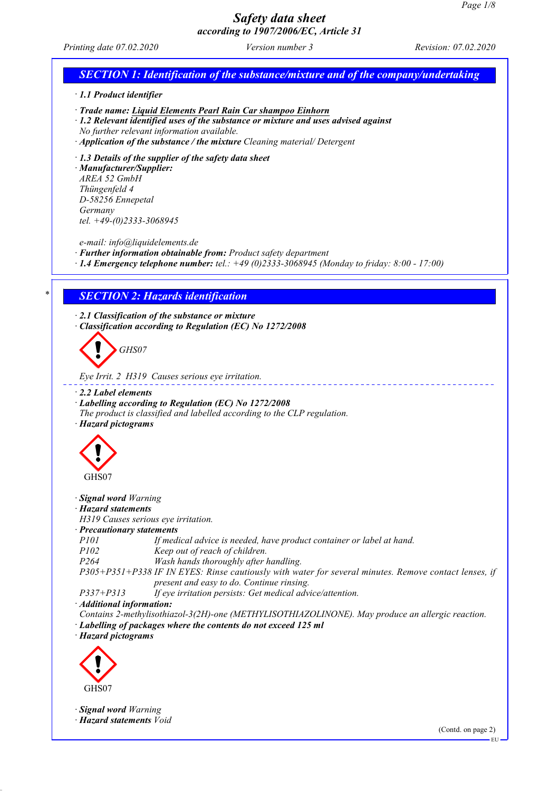*Printing date 07.02.2020 Version number 3 Revision: 07.02.2020*

# *SECTION 1: Identification of the substance/mixture and of the company/undertaking · 1.1 Product identifier · Trade name: Liquid Elements Pearl Rain Car shampoo Einhorn · 1.2 Relevant identified uses of the substance or mixture and uses advised against No further relevant information available. · Application of the substance / the mixture Cleaning material/ Detergent · 1.3 Details of the supplier of the safety data sheet · Manufacturer/Supplier: AREA 52 GmbH Thüngenfeld 4 D-58256 Ennepetal Germany tel. +49-(0)2333-3068945 e-mail: info@liquidelements.de · Further information obtainable from: Product safety department · 1.4 Emergency telephone number: tel.: +49 (0)2333-3068945 (Monday to friday: 8:00 - 17:00) \* SECTION 2: Hazards identification · 2.1 Classification of the substance or mixture · Classification according to Regulation (EC) No 1272/2008 GHS07 Eye Irrit. 2 H319 Causes serious eye irritation. · 2.2 Label elements · Labelling according to Regulation (EC) No 1272/2008 The product is classified and labelled according to the CLP regulation. · Hazard pictograms* GHS07 *· Signal word Warning · Hazard statements H319 Causes serious eye irritation. · Precautionary statements P101 If medical advice is needed, have product container or label at hand. P102 Keep out of reach of children. P264 Wash hands thoroughly after handling. P305+P351+P338 IF IN EYES: Rinse cautiously with water for several minutes. Remove contact lenses, if present and easy to do. Continue rinsing. P337+P313 If eye irritation persists: Get medical advice/attention. · Additional information: Contains 2-methylisothiazol-3(2H)-one (METHYLISOTHIAZOLINONE). May produce an allergic reaction. · Labelling of packages where the contents do not exceed 125 ml · Hazard pictograms* GHS07 *· Signal word Warning · Hazard statements Void* (Contd. on page 2) EU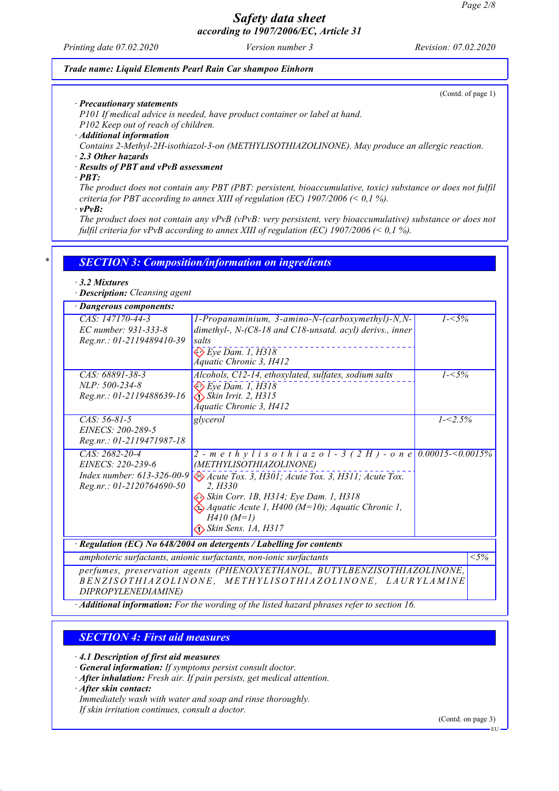*Printing date 07.02.2020 Version number 3 Revision: 07.02.2020*

### *Trade name: Liquid Elements Pearl Rain Car shampoo Einhorn*

(Contd. of page 1)

*· Precautionary statements*

*P101 If medical advice is needed, have product container or label at hand.*

*P102 Keep out of reach of children.*

*· Additional information*

*Contains 2-Methyl-2H-isothiazol-3-on (METHYLISOTHIAZOLINONE). May produce an allergic reaction.*

*· 2.3 Other hazards*

*· Results of PBT and vPvB assessment*

*· PBT:*

*The product does not contain any PBT (PBT: persistent, bioaccumulative, toxic) substance or does not fulfil criteria for PBT according to annex XIII of regulation (EC) 1907/2006 (< 0,1 %).*

*· vPvB:*

*The product does not contain any vPvB (vPvB: very persistent, very bioaccumulative) substance or does not fulfil criteria for vPvB according to annex XIII of regulation (EC) 1907/2006 (< 0,1 %).*

### *\* SECTION 3: Composition/information on ingredients*

#### *· 3.2 Mixtures*

*· Description: Cleansing agent*

| · Dangerous components:                                                                                                                                    |                                                                                                                                                                                                                                                                                                                                       |             |                   |
|------------------------------------------------------------------------------------------------------------------------------------------------------------|---------------------------------------------------------------------------------------------------------------------------------------------------------------------------------------------------------------------------------------------------------------------------------------------------------------------------------------|-------------|-------------------|
| CAS: 147170-44-3<br>EC number: 931-333-8<br>Reg.nr.: 01-2119489410-39                                                                                      | 1-Propanaminium, 3-amino-N-(carboxymethyl)-N,N-<br>dimethyl-, N-(C8-18 and C18-unsatd. acyl) derivs., inner<br>salts<br>$\otimes$ Eye Dam. 1, H318<br>Áquatic Chronic 3, H412                                                                                                                                                         | $1 - 5\%$   |                   |
| CAS: 68891-38-3<br>NLP: 500-234-8<br>Reg.nr.: 01-2119488639-16                                                                                             | Alcohols, C12-14, ethoxylated, sulfates, sodium salts<br>$\Leftrightarrow$ Eye Dam. 1, H318<br>$\bigotimes$ Skin Irrit. 2, H315<br>Áquatic Chronic 3, H412                                                                                                                                                                            | $1 - 5\%$   |                   |
| $CAS: 56-81-5$<br>EINECS: 200-289-5<br>Reg.nr.: 01-2119471987-18                                                                                           | glycerol                                                                                                                                                                                                                                                                                                                              | $1 - 2.5\%$ |                   |
| CAS: 2682-20-4<br>EINECS: 220-239-6<br>Index number: $613-326-00-9$<br>Reg.nr.: 01-2120764690-50                                                           | 2 - m e t h y l i s o t h i a z o l - 3 (2 H) - o n e 0.00015-<0.0015%<br>(METHYLISOTHIAZOLINONE)<br>Acute Tox. 3, H301; Acute Tox. 3, H311; Acute Tox.<br>2. H330<br>Skin Corr. 1B, H314; Eye Dam. 1, H318<br>$\bigotimes A$ quatic Acute 1, H400 (M=10); Aquatic Chronic 1,<br>$H410(M=1)$<br>$\Leftrightarrow$ Skin Sens. 1A, H317 |             |                   |
| $\cdot$ Regulation (EC) No 648/2004 on detergents / Labelling for contents                                                                                 |                                                                                                                                                                                                                                                                                                                                       |             |                   |
| amphoteric surfactants, anionic surfactants, non-ionic surfactants                                                                                         |                                                                                                                                                                                                                                                                                                                                       |             | $\overline{<}5\%$ |
| perfumes, preservation agents (PHENOXYETHANOL, BUTYLBENZISOTHIAZOLINONE,<br>BENZISOTHIAZOLINONE, METHYLISOTHIAZOLINONE, LAURYLAMINE<br>DIPROPYLENEDIAMINE) |                                                                                                                                                                                                                                                                                                                                       |             |                   |

*· Additional information: For the wording of the listed hazard phrases refer to section 16.*

### *SECTION 4: First aid measures*

*· 4.1 Description of first aid measures*

*· General information: If symptoms persist consult doctor.*

*· After inhalation: Fresh air. If pain persists, get medical attention.*

*· After skin contact:*

*Immediately wash with water and soap and rinse thoroughly.*

*If skin irritation continues, consult a doctor.*

(Contd. on page 3)

EU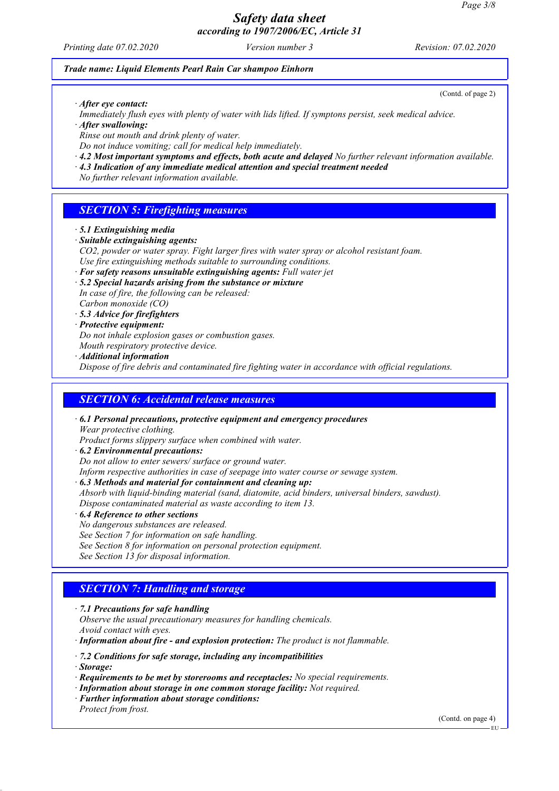*Printing date 07.02.2020 Version number 3 Revision: 07.02.2020*

(Contd. of page 2)

### *Trade name: Liquid Elements Pearl Rain Car shampoo Einhorn*

*· After eye contact:*

*Immediately flush eyes with plenty of water with lids lifted. If symptons persist, seek medical advice.*

*· After swallowing:*

*Rinse out mouth and drink plenty of water.*

*Do not induce vomiting; call for medical help immediately.*

- *· 4.2 Most important symptoms and effects, both acute and delayed No further relevant information available.*
- *· 4.3 Indication of any immediate medical attention and special treatment needed*

*No further relevant information available.*

## *SECTION 5: Firefighting measures*

- *· 5.1 Extinguishing media*
- *· Suitable extinguishing agents:*
- *CO2, powder or water spray. Fight larger fires with water spray or alcohol resistant foam. Use fire extinguishing methods suitable to surrounding conditions.*
- *· For safety reasons unsuitable extinguishing agents: Full water jet*
- *· 5.2 Special hazards arising from the substance or mixture In case of fire, the following can be released: Carbon monoxide (CO)*
- *· 5.3 Advice for firefighters*
- *· Protective equipment:*

*Do not inhale explosion gases or combustion gases.*

*Mouth respiratory protective device.*

*· Additional information*

*Dispose of fire debris and contaminated fire fighting water in accordance with official regulations.*

### *SECTION 6: Accidental release measures*

*· 6.1 Personal precautions, protective equipment and emergency procedures Wear protective clothing.*

*Product forms slippery surface when combined with water.*

- *· 6.2 Environmental precautions:*
- *Do not allow to enter sewers/ surface or ground water.*

*Inform respective authorities in case of seepage into water course or sewage system.*

- *· 6.3 Methods and material for containment and cleaning up:*
- *Absorb with liquid-binding material (sand, diatomite, acid binders, universal binders, sawdust). Dispose contaminated material as waste according to item 13.*
- *· 6.4 Reference to other sections*
- *No dangerous substances are released.*

*See Section 7 for information on safe handling.*

*See Section 8 for information on personal protection equipment.*

*See Section 13 for disposal information.*

## *SECTION 7: Handling and storage*

- *· 7.1 Precautions for safe handling*
- *Observe the usual precautionary measures for handling chemicals.*

*Avoid contact with eyes.*

*· Information about fire - and explosion protection: The product is not flammable.*

*· 7.2 Conditions for safe storage, including any incompatibilities*

*· Storage:*

- *· Requirements to be met by storerooms and receptacles: No special requirements.*
- *· Information about storage in one common storage facility: Not required.*
- *· Further information about storage conditions: Protect from frost.*

(Contd. on page 4)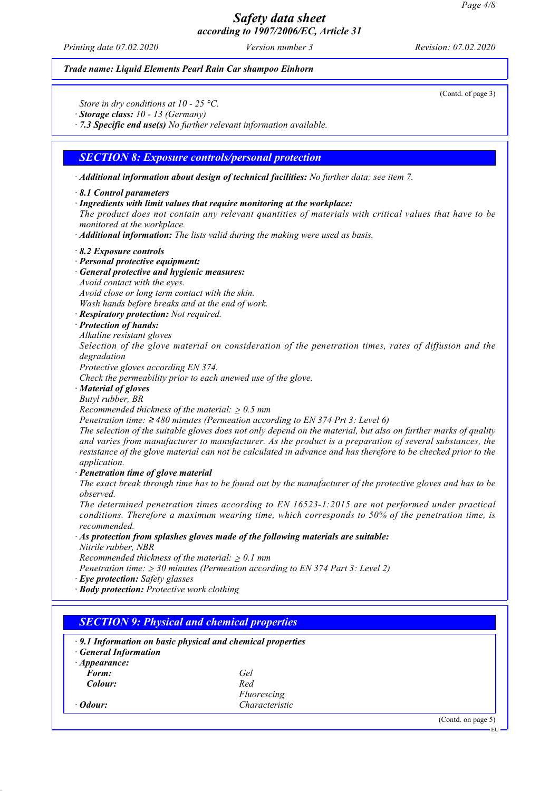*Printing date 07.02.2020 Version number 3 Revision: 07.02.2020*

### *Trade name: Liquid Elements Pearl Rain Car shampoo Einhorn*

(Contd. of page 3)

*Store in dry conditions at 10 - 25 °C.*

*· Storage class: 10 - 13 (Germany)*

*· 7.3 Specific end use(s) No further relevant information available.*

### *SECTION 8: Exposure controls/personal protection*

*· Additional information about design of technical facilities: No further data; see item 7.*

#### *· 8.1 Control parameters*

*· Ingredients with limit values that require monitoring at the workplace:*

*The product does not contain any relevant quantities of materials with critical values that have to be monitored at the workplace.*

*· Additional information: The lists valid during the making were used as basis.*

#### *· 8.2 Exposure controls*

- *· Personal protective equipment:*
- *· General protective and hygienic measures:*
- *Avoid contact with the eyes.*

*Avoid close or long term contact with the skin.*

*Wash hands before breaks and at the end of work.*

- *· Respiratory protection: Not required.*
- *· Protection of hands:*

*Alkaline resistant gloves*

*Selection of the glove material on consideration of the penetration times, rates of diffusion and the degradation*

*Protective gloves according EN 374.*

*Check the permeability prior to each anewed use of the glove.*

#### *· Material of gloves*

*Butyl rubber, BR*

*Recommended thickness of the material:* ≥ *0.5 mm*

*Penetration time:* ≥ *480 minutes (Permeation according to EN 374 Prt 3: Level 6)*

*The selection of the suitable gloves does not only depend on the material, but also on further marks of quality and varies from manufacturer to manufacturer. As the product is a preparation of several substances, the resistance of the glove material can not be calculated in advance and has therefore to be checked prior to the application.*

#### *· Penetration time of glove material*

*The exact break through time has to be found out by the manufacturer of the protective gloves and has to be observed.*

*The determined penetration times according to EN 16523-1:2015 are not performed under practical conditions. Therefore a maximum wearing time, which corresponds to 50% of the penetration time, is recommended.*

## *· As protection from splashes gloves made of the following materials are suitable:*

*Nitrile rubber, NBR*

*Recommended thickness of the material:* ≥ *0.1 mm*

*Penetration time:* ≥ *30 minutes (Permeation according to EN 374 Part 3: Level 2)*

*· Eye protection: Safety glasses*

*· Body protection: Protective work clothing*

| · General Information        | $\cdot$ 9.1 Information on basic physical and chemical properties |  |
|------------------------------|-------------------------------------------------------------------|--|
| $\cdot$ Appearance:<br>Form: | Gel                                                               |  |
| Colour:                      | Red                                                               |  |
|                              | Fluorescing                                                       |  |
| $\cdot$ Odour:               | Characteristic                                                    |  |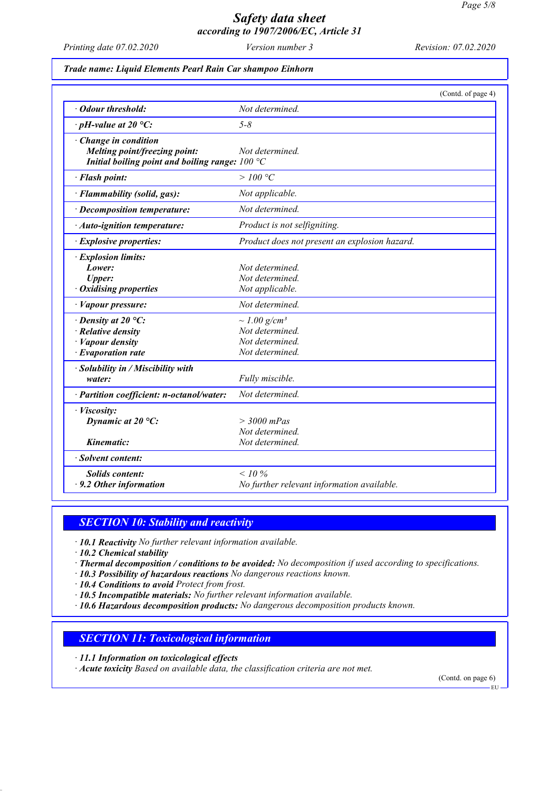*Printing date 07.02.2020 Version number 3 Revision: 07.02.2020*

*Trade name: Liquid Elements Pearl Rain Car shampoo Einhorn*

|                                                                                                                    | (Contd. of page 4)                                                                     |
|--------------------------------------------------------------------------------------------------------------------|----------------------------------------------------------------------------------------|
| • Odour threshold:                                                                                                 | Not determined.                                                                        |
| $\cdot$ pH-value at 20 °C:                                                                                         | $5 - 8$                                                                                |
| Change in condition<br>Melting point/freezing point:<br>Initial boiling point and boiling range: $100 °C$          | Not determined.                                                                        |
| · Flash point:                                                                                                     | $>100\,^{\circ}\mathrm{C}$                                                             |
| · Flammability (solid, gas):                                                                                       | Not applicable.                                                                        |
| · Decomposition temperature:                                                                                       | Not determined.                                                                        |
| · Auto-ignition temperature:                                                                                       | Product is not selfigniting.                                                           |
| · Explosive properties:                                                                                            | Product does not present an explosion hazard.                                          |
| · Explosion limits:<br>Lower:<br><b>Upper:</b><br>$\cdot$ Oxidising properties                                     | Not determined.<br>Not determined.<br>Not applicable.                                  |
| · Vapour pressure:                                                                                                 | Not determined.                                                                        |
| $\cdot$ Density at 20 °C:<br>$\cdot$ Relative density<br>$\cdot$ <i>Vapour density</i><br>$\cdot$ Evaporation rate | $\sim$ 1.00 g/cm <sup>3</sup><br>Not determined.<br>Not determined.<br>Not determined. |
| $\cdot$ Solubility in / Miscibility with<br>water:                                                                 | Fully miscible.                                                                        |
| · Partition coefficient: n-octanol/water:                                                                          | Not determined.                                                                        |
| · Viscosity:<br>Dynamic at $20^{\circ}$ C:                                                                         | $>$ 3000 mPas<br>Not determined.                                                       |
| Kinematic:                                                                                                         | Not determined.                                                                        |
| · Solvent content:                                                                                                 |                                                                                        |
| <b>Solids content:</b><br>$\cdot$ 9.2 Other information                                                            | $< 10\%$<br>No further relevant information available.                                 |

## *SECTION 10: Stability and reactivity*

*· 10.1 Reactivity No further relevant information available.*

*· 10.2 Chemical stability*

*· Thermal decomposition / conditions to be avoided: No decomposition if used according to specifications.*

*· 10.3 Possibility of hazardous reactions No dangerous reactions known.*

*· 10.4 Conditions to avoid Protect from frost.*

*· 10.5 Incompatible materials: No further relevant information available.*

*· 10.6 Hazardous decomposition products: No dangerous decomposition products known.*

### *SECTION 11: Toxicological information*

*· 11.1 Information on toxicological effects*

*· Acute toxicity Based on available data, the classification criteria are not met.*

(Contd. on page 6)

EU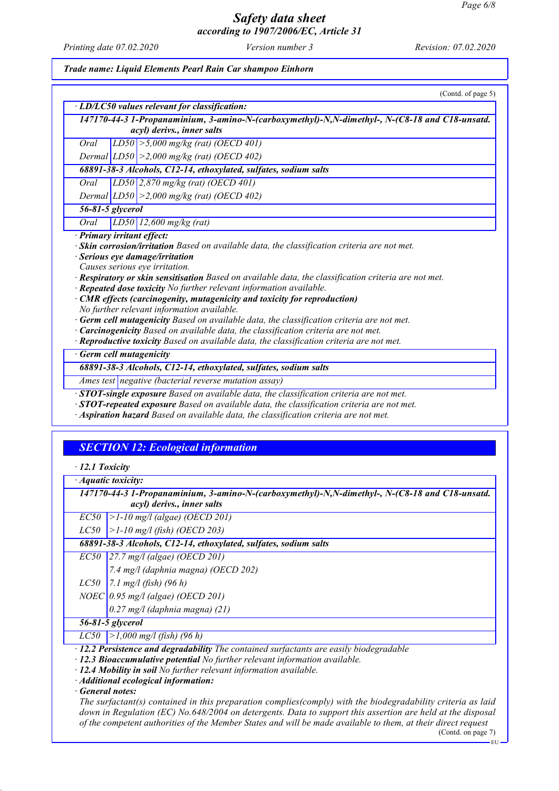*Printing date 07.02.2020 Version number 3 Revision: 07.02.2020*

*Trade name: Liquid Elements Pearl Rain Car shampoo Einhorn*

| (Contd. of page 5)                                                                                          |  |  |
|-------------------------------------------------------------------------------------------------------------|--|--|
| · LD/LC50 values relevant for classification:                                                               |  |  |
| 147170-44-3 1-Propanaminium, 3-amino-N-(carboxymethyl)-N,N-dimethyl-, N-(C8-18 and C18-unsatd.              |  |  |
| acyl) derivs., inner salts                                                                                  |  |  |
| $LD50 \ge 5,000 \text{ mg/kg}$ (rat) (OECD 401)<br>Oral                                                     |  |  |
| Dermal $ LD50  > 2,000$ mg/kg (rat) (OECD 402)                                                              |  |  |
| 68891-38-3 Alcohols, C12-14, ethoxylated, sulfates, sodium salts                                            |  |  |
| LD50 $2,870$ mg/kg (rat) (OECD 401)<br>Oral                                                                 |  |  |
| Dermal $ LD50  > 2,000$ mg/kg (rat) (OECD 402)                                                              |  |  |
| 56-81-5 glycerol                                                                                            |  |  |
| Oral<br>LD50 12,600 mg/kg (rat)                                                                             |  |  |
| · Primary irritant effect:                                                                                  |  |  |
| · Skin corrosion/irritation Based on available data, the classification criteria are not met.               |  |  |
| · Serious eye damage/irritation                                                                             |  |  |
| Causes serious eye irritation.                                                                              |  |  |
| $\cdot$ Respiratory or skin sensitisation Based on available data, the classification criteria are not met. |  |  |
| · Repeated dose toxicity No further relevant information available.                                         |  |  |
| · CMR effects (carcinogenity, mutagenicity and toxicity for reproduction)                                   |  |  |
| No further relevant information available.                                                                  |  |  |
| $\cdot$ Germ cell mutagenicity Based on available data, the classification criteria are not met.            |  |  |
| · Carcinogenicity Based on available data, the classification criteria are not met.                         |  |  |
| · Reproductive toxicity Based on available data, the classification criteria are not met.                   |  |  |
| Germ cell mutagenicity                                                                                      |  |  |
| 68891-38-3 Alcohols, C12-14, ethoxylated, sulfates, sodium salts                                            |  |  |
| Ames test negative (bacterial reverse mutation assay)                                                       |  |  |
| $\cdot$ STOT-single exposure Based on available data, the classification criteria are not met.              |  |  |
| $\cdot$ STOT-repeated exposure Based on available data, the classification criteria are not met.            |  |  |
| · Aspiration hazard Based on available data, the classification criteria are not met.                       |  |  |

## *SECTION 12: Ecological information*

|  | 12.1 Toxicity |
|--|---------------|
|--|---------------|

*· Aquatic toxicity:*

*147170-44-3 1-Propanaminium, 3-amino-N-(carboxymethyl)-N,N-dimethyl-, N-(C8-18 and C18-unsatd. acyl) derivs., inner salts*

*EC50 >1-10 mg/l (algae) (OECD 201)*

*LC50 >1-10 mg/l (fish) (OECD 203)*

*68891-38-3 Alcohols, C12-14, ethoxylated, sulfates, sodium salts*

*EC50 27.7 mg/l (algae) (OECD 201)*

*7.4 mg/l (daphnia magna) (OECD 202)*

*LC50 7.1 mg/l (fish) (96 h)*

*NOEC 0.95 mg/l (algae) (OECD 201)*

*0.27 mg/l (daphnia magna) (21)*

*56-81-5 glycerol*

*LC50 >1,000 mg/l (fish) (96 h)*

*· 12.2 Persistence and degradability The contained surfactants are easily biodegradable*

*· 12.3 Bioaccumulative potential No further relevant information available.*

*· 12.4 Mobility in soil No further relevant information available.*

*· Additional ecological information:*

*· General notes:*

*The surfactant(s) contained in this preparation complies(comply) with the biodegradability criteria as laid down in Regulation (EC) No.648/2004 on detergents. Data to support this assertion are held at the disposal of the competent authorities of the Member States and will be made available to them, at their direct request*

(Contd. on page 7)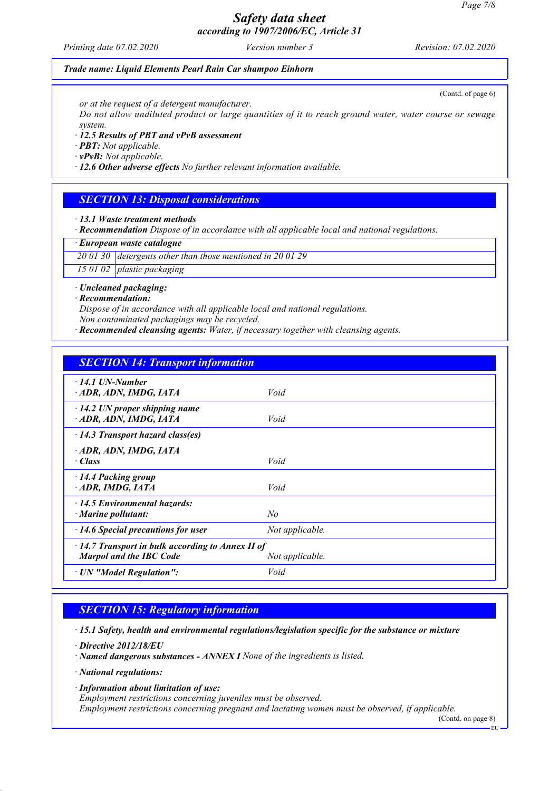*Printing date 07.02.2020 Version number 3 Revision: 07.02.2020*

(Contd. of page 6)

### *Trade name: Liquid Elements Pearl Rain Car shampoo Einhorn*

*or at the request of a detergent manufacturer.*

*Do not allow undiluted product or large quantities of it to reach ground water, water course or sewage system.*

*· 12.5 Results of PBT and vPvB assessment*

*· PBT: Not applicable.*

*· vPvB: Not applicable.*

*· 12.6 Other adverse effects No further relevant information available.*

### *SECTION 13: Disposal considerations*

*· 13.1 Waste treatment methods*

*· Recommendation Dispose of in accordance with all applicable local and national regulations.*

*· European waste catalogue*

*20 01 30 detergents other than those mentioned in 20 01 29*

*15 01 02 plastic packaging*

*· Uncleaned packaging:*

*· Recommendation:*

*Dispose of in accordance with all applicable local and national regulations. Non contaminated packagings may be recycled.*

*· Recommended cleansing agents: Water, if necessary together with cleansing agents.*

### *SECTION 14: Transport information*

| $\cdot$ 14.1 UN-Number                                  |                 |
|---------------------------------------------------------|-----------------|
| ADR, ADN, IMDG, IATA                                    | Void            |
|                                                         |                 |
| $\cdot$ 14.2 UN proper shipping name                    |                 |
| ADR, ADN, IMDG, IATA                                    | Void            |
| $\cdot$ 14.3 Transport hazard class(es)                 |                 |
| ADR, ADN, IMDG, IATA                                    |                 |
| $\cdot$ Class                                           | Void            |
|                                                         |                 |
| · 14.4 Packing group                                    |                 |
| ADR, IMDG, IATA                                         | Void            |
| $\cdot$ 14.5 Environmental hazards:                     |                 |
| $\cdot$ Marine pollutant:                               | N <sub>o</sub>  |
|                                                         |                 |
| $\cdot$ 14.6 Special precautions for user               | Not applicable. |
| $\cdot$ 14.7 Transport in bulk according to Annex II of |                 |
| <b>Marpol and the IBC Code</b>                          | Not applicable. |
|                                                         | Void            |
| · UN "Model Regulation":                                |                 |

### *SECTION 15: Regulatory information*

*· 15.1 Safety, health and environmental regulations/legislation specific for the substance or mixture*

*· Directive 2012/18/EU*

*· Named dangerous substances - ANNEX I None of the ingredients is listed.*

*· National regulations:*

*· Information about limitation of use:*

*Employment restrictions concerning juveniles must be observed.*

*Employment restrictions concerning pregnant and lactating women must be observed, if applicable.*

(Contd. on page 8)

EU